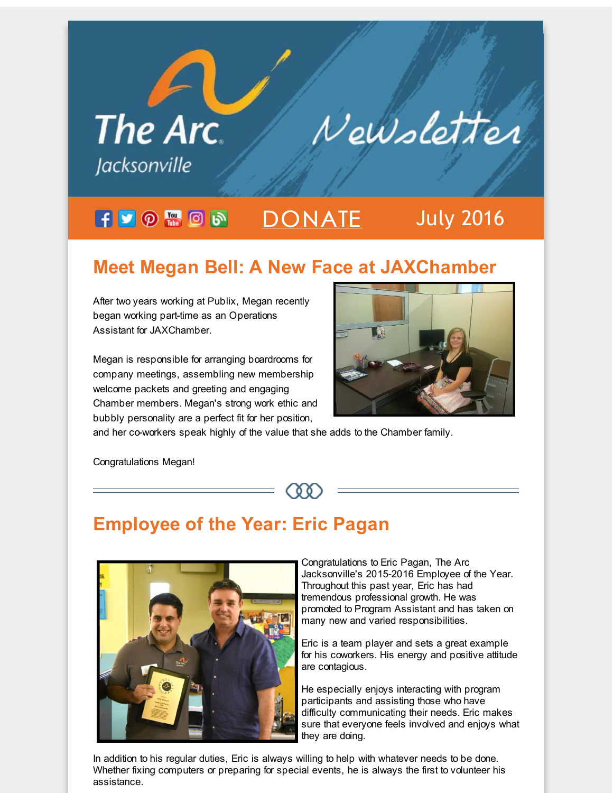

## **Meet Megan Bell: A New Face at JAXChamber**

After two years working at Publix, Megan recently began working part-time as an Operations Assistant for JAXChamber.

Megan is responsible for arranging boardrooms for company meetings, assembling new membership welcome packets and greeting and engaging Chamber members. Megan's strong work ethic and bubbly personality are a perfect fit for her position,



and her co-workers speak highly of the value that she adds to the Chamber family.

Congratulations Megan!

## **Employee of the Year: Eric Pagan**



Congratulations to Eric Pagan, The Arc Jacksonville's 2015-2016 Employee of the Year. Throughout this past year, Eric has had tremendous professional growth. He was promoted to Program Assistant and has taken on many new and varied responsibilities.

Eric is a team player and sets a great example for his coworkers. His energy and positive attitude are contagious.

He especially enjoys interacting with program participants and assisting those who have difficulty communicating their needs. Eric makes sure that everyone feels involved and enjoys what they are doing.

In addition to his regular duties, Eric is always willing to help with whatever needs to be done. Whether fixing computers or preparing for special events, he is always the first to volunteer his assistance.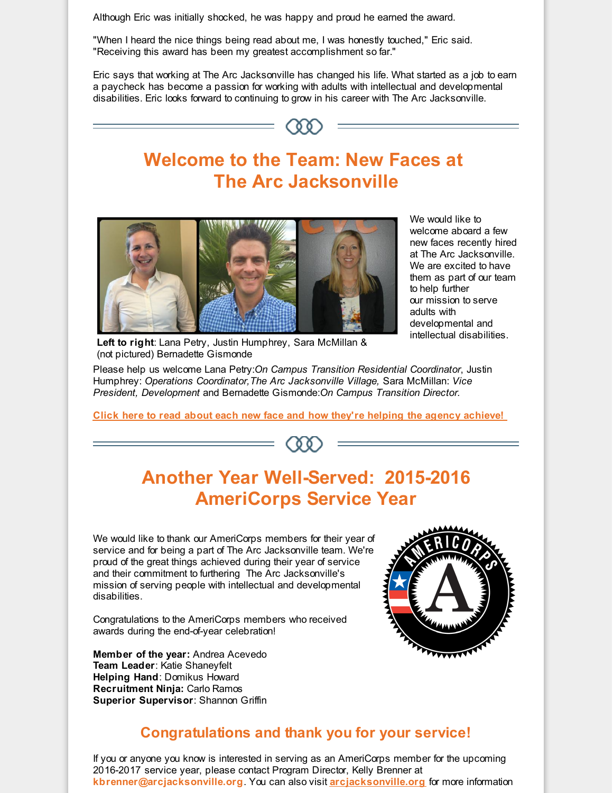Although Eric was initially shocked, he was happy and proud he earned the award.

"When I heard the nice things being read about me, I was honestly touched," Eric said. "Receiving this award has been my greatest accomplishment so far."

Eric says that working at The Arc Jacksonville has changed his life. What started as a job to earn a paycheck has become a passion for working with adults with intellectual and developmental disabilities. Eric looks forward to continuing to grow in his career with The Arc Jacksonville.





We would like to welcome aboard a few new faces recently hired at The Arc Jacksonville. We are excited to have them as part of our team to help further our mission to serve adults with developmental and intellectual disabilities.

**Left to right**: Lana Petry, Justin Humphrey, Sara McMillan & (not pictured) Bernadette Gismonde

Please help us welcome Lana Petry:*On Campus Transition Residential Coordinator*, Justin Humphrey: *Operations Coordinator,The Arc Jacksonville Village,* Sara McMillan: *Vice President, Development* and Bernadette Gismonde:*On Campus Transition Director.*

**Click here to read about each new face and how they're helping the agency [achieve!](http://r20.rs6.net/tn.jsp?f=001G6pjQxaSlIDV7OWgdzTqqf9NTcaqEN3gLvpciDyoYpxTkfP7o1p-1zVmuSYpKR3oOsQ3CJUdYA1dAdyCgUI2IHDWJrVrMvj5DnZxJSwqQ-qRnRBspFoavYs4TPnmCSl5vMBun7BK5zwLOEF52YULbFWzLAPZiHv2n5iGepZAIYAHsKAYl1g4ZeC9v-sHJHqv3orS3molMukrLrwcnJ9MI-c_LR1p4N37o1XxGjVlkEy5YrVrnBAxkqagCeZOvyf0mk0TBW4xA0XYO7XeD75Gm-Du2Q1ubUlR94RWtRBk214JCsXenl5l5aIRhCQFEJi9rs0bfjUKAeUctavkAa_DXtrQWIGgX-zfrFkY7CrP8g1jOWFGSlJUpC29z_gqy_nF123TcFWC9aM=&c=&ch=)**

# **Another Year Well-Served: 2015-2016 AmeriCorps Service Year**

We would like to thank our AmeriCorps members for their year of service and for being a part of The Arc Jacksonville team. We're proud of the great things achieved during their year of service and their commitment to furthering The Arc Jacksonville's mission of serving people with intellectual and developmental disabilities.

Congratulations to the AmeriCorps members who received awards during the end-of-year celebration!

**Member of the year:** Andrea Acevedo **Team Leader**: Katie Shaneyfelt **Helping Hand**: Domikus Howard **Recruitment Ninja:** Carlo Ramos **Superior Supervisor**: Shannon Griffin



### **Congratulations and thank you for your service!**

If you or anyone you know is interested in serving as an AmeriCorps member for the upcoming 2016-2017 service year, please contact Program Director, Kelly Brenner at **kbrenner@arcjacksonville.org**. You can also visit **[arcjacksonville.org](http://r20.rs6.net/tn.jsp?f=001G6pjQxaSlIDV7OWgdzTqqf9NTcaqEN3gLvpciDyoYpxTkfP7o1p-15nr6cjqnR8a710c_cUOUqrujlihiEk1pcoT0T24gXVaqTytpXhkWv7uMknoSXVcwddH3t1ynKGKWcqijgAdpMR0MnUSnHEuiBDxj9Hh2PqKQ8L6BaM9RwvONkcvLX3sSIMmVMDuQA5BG9uWG_9SkyB7TmQ_YOexgGJcw1bHRMiwILk5pLZiU9zfK5Iisga6P598SAc8SH8-87_AP2SNhIAtp_gsZZ_VLRrMzqWQGkXAv0U5jLcgAD6VcXPNSsmXHib53D0v15Qe&c=&ch=)** for more information